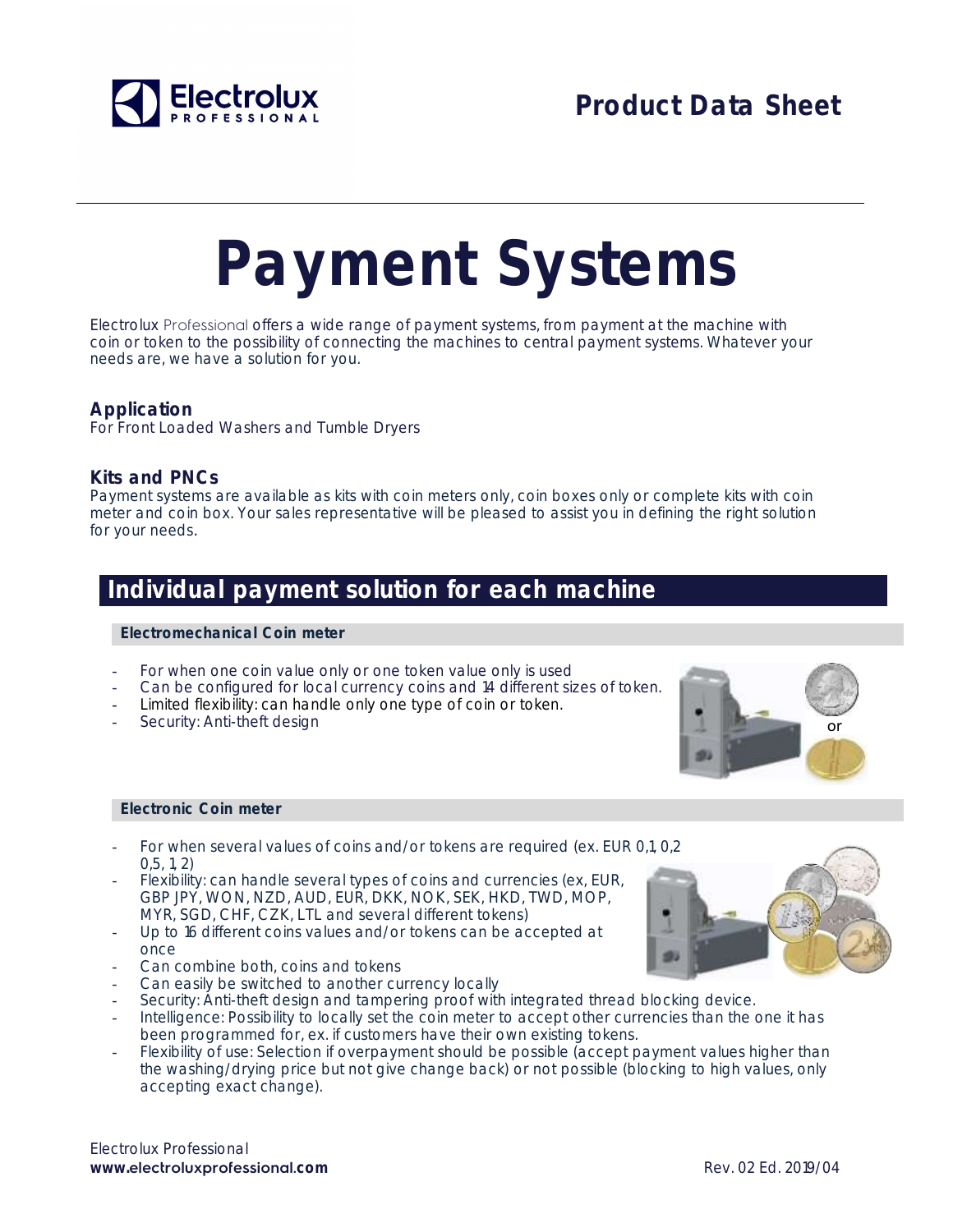

# **Payment Systems**

Electrolux Professional offers a wide range of payment systems, from payment at the machine with coin or token to the possibility of connecting the machines to central payment systems. Whatever your needs are, we have a solution for you.

#### **Application**

For Front Loaded Washers and Tumble Dryers

#### **Kits and PNCs**

Payment systems are available as kits with coin meters only, coin boxes only or complete kits with coin meter and coin box. Your sales representative will be pleased to assist you in defining the right solution for your needs*.* 

### **Individual payment solution for each machine**

#### **Electromechanical Coin meter**

- For when one coin value only or one token value only is used
- Can be configured for local currency coins and 14 different sizes of token.
- Limited flexibility: can handle only one type of coin or token.
- Security: Anti-theft design

#### **Electronic Coin meter**

- For when several values of coins and/or tokens are required (ex. EUR 0,1, 0,2) 0,5, 1, 2)
- Flexibility: can handle several types of coins and currencies (ex, EUR, GBP JPY, WON, NZD, AUD, EUR, DKK, NOK, SEK, HKD, TWD, MOP, MYR, SGD, CHF, CZK, LTL and several different tokens)
- Up to 16 different coins values and/or tokens can be accepted at once
- Can combine both, coins and tokens
- Can easily be switched to another currency locally
- Security: Anti-theft design and tampering proof with integrated thread blocking device.
- Intelligence: Possibility to locally set the coin meter to accept other currencies than the one it has been programmed for, ex. if customers have their own existing tokens.
- Flexibility of use: Selection if overpayment should be possible (accept payment values higher than the washing/drying price but not give change back) or not possible (blocking to high values, only accepting exact change).

Electrolux Professional **www.electroluxprofessional.**com **Rev. 02 Ed. 2019/04** Rev. 02 Ed. 2019/04



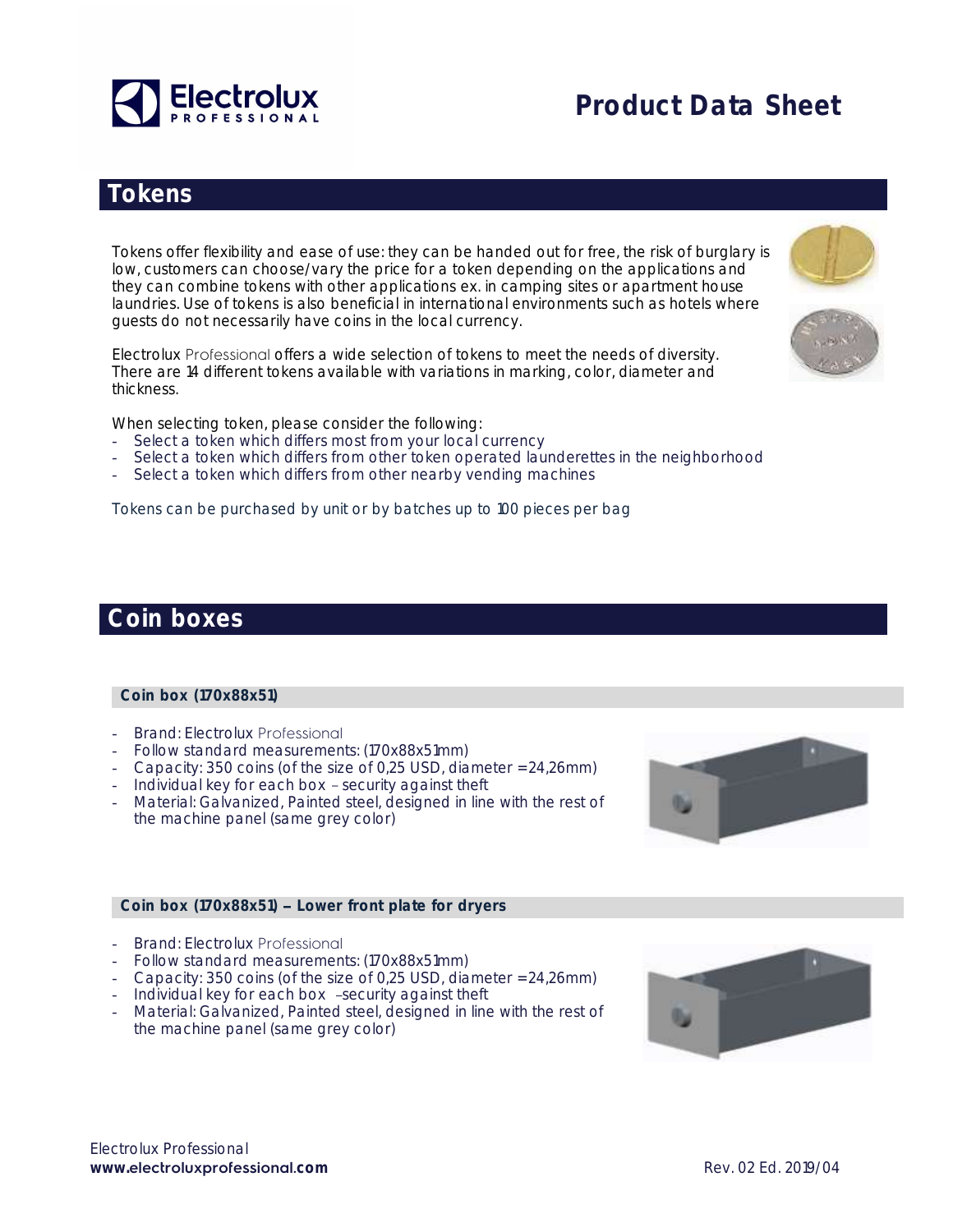

# **Product Data Sheet**

### **Tokens**

Tokens offer flexibility and ease of use: they can be handed out for free, the risk of burglary is low, customers can choose/vary the price for a token depending on the applications and they can combine tokens with other applications ex. in camping sites or apartment house laundries. Use of tokens is also beneficial in international environments such as hotels where guests do not necessarily have coins in the local currency.

Electrolux Professional offers a wide selection of tokens to meet the needs of diversity. There are 14 different tokens available with variations in marking, color, diameter and thickness.

When selecting token, please consider the following:

- Select a token which differs most from your local currency
- Select a token which differs from other token operated launderettes in the neighborhood
- Select a token which differs from other nearby vending machines

Tokens can be purchased by unit or by batches up to 100 pieces per bag

#### **Coin boxes**

#### **Coin box (170x88x51)**

- Brand: Electrolux Professional
- Follow standard measurements: (170x88x51mm)
- Capacity: 350 coins (of the size of 0,25 USD, diameter = 24,26mm)
- Individual key for each box security against theft
- Material: Galvanized, Painted steel, designed in line with the rest of the machine panel (same grey color)

#### **Coin box (170x88x51) Lower front plate for dryers**

- Brand: Electrolux Professional
- Follow standard measurements: (170x88x51mm)
- Capacity: 350 coins (of the size of 0,25 USD, diameter = 24,26mm)
- Individual key for each box -security against theft
- Material: Galvanized, Painted steel, designed in line with the rest of the machine panel (same grey color)





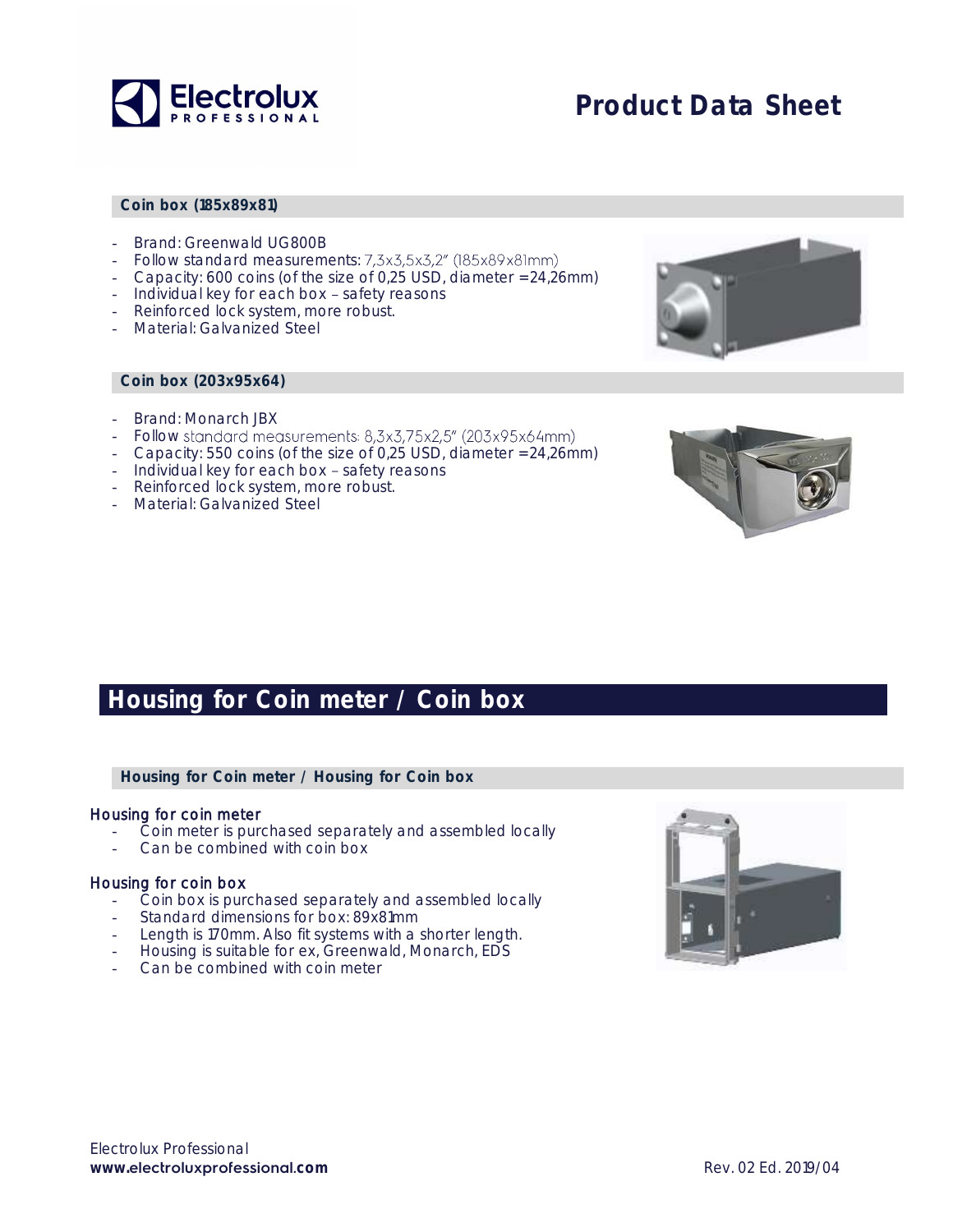

## **Product Data Sheet**

#### **Coin box (185x89x81)**

- Brand: Greenwald UG800B
- Follow standard measurements: 7,3x3,5x3,2" (185x89x81mm)
- Capacity: 600 coins (of the size of 0,25 USD, diameter = 24,26mm)
- Individual key for each box safety reasons
- Reinforced lock system, more robust.
- Material: Galvanized Steel

#### **Coin box (203x95x64)**

- Brand: Monarch JBX
- Follow standard measurements: 8,3x3,75x2,5" (203x95x64mm)
- Capacity: 550 coins (of the size of 0,25 USD, diameter = 24,26mm)
- Individual key for each box safety reasons
- Reinforced lock system, more robust.
- Material: Galvanized Steel





### **Housing for Coin meter / Coin box**

**Housing for Coin meter / Housing for Coin box**

#### Housing for coin meter

- Coin meter is purchased separately and assembled locally
- Can be combined with coin box

#### Housing for coin box

- Coin box is purchased separately and assembled locally
- Standard dimensions for box: 89x81mm
- Length is 170mm. Also fit systems with a shorter length.
- Housing is suitable for ex, Greenwald, Monarch, EDS
- Can be combined with coin meter

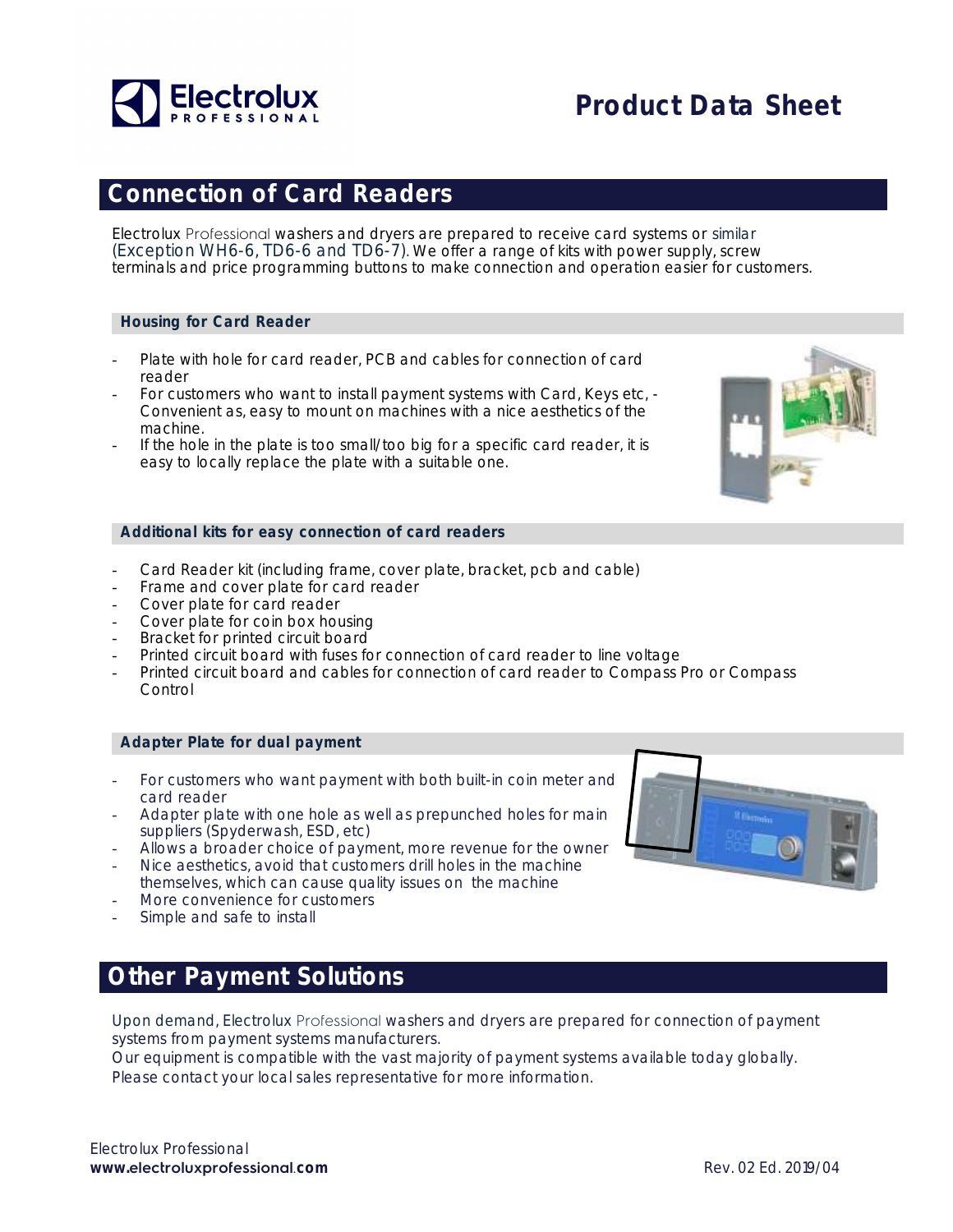

### **Connection of Card Readers**

Electrolux Professional washers and dryers are prepared to receive card systems or similar (Exception WH6-6, TD6-6 and TD6-7). We offer a range of kits with power supply, screw terminals and price programming buttons to make connection and operation easier for customers.

#### **Housing for Card Reader**

- Plate with hole for card reader, PCB and cables for connection of card reader
- For customers who want to install payment systems with Card, Keys etc, Convenient as, easy to mount on machines with a nice aesthetics of the machine.
- If the hole in the plate is too small/too big for a specific card reader, it is easy to locally replace the plate with a suitable one.



#### **Additional kits for easy connection of card readers**

- Card Reader kit (including frame, cover plate, bracket, pcb and cable)
- Frame and cover plate for card reader
- Cover plate for card reader
- Cover plate for coin box housing
- Bracket for printed circuit board
- Printed circuit board with fuses for connection of card reader to line voltage
- Printed circuit board and cables for connection of card reader to Compass Pro or Compass Control

#### **Adapter Plate for dual payment**

- For customers who want payment with both built-in coin meter and card reader
- Adapter plate with one hole as well as prepunched holes for main suppliers (Spyderwash, ESD, etc)
- Allows a broader choice of payment, more revenue for the owner
- Nice aesthetics, avoid that customers drill holes in the machine themselves, which can cause quality issues on the machine
- More convenience for customers
- Simple and safe to install

### **Other Payment Solutions**

Upon demand, Electrolux Professional washers and dryers are prepared for connection of payment systems from payment systems manufacturers.

Our equipment is compatible with the vast majority of payment systems available today globally. Please contact your local sales representative for more information.